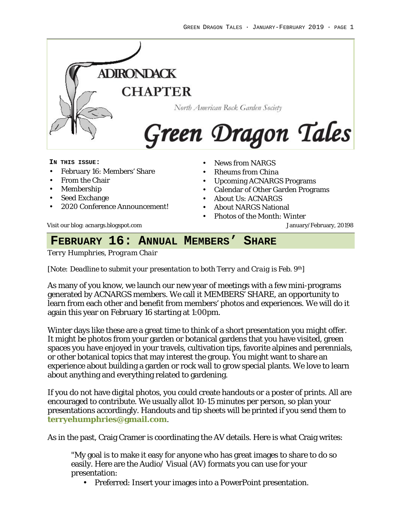

#### **IN THIS ISSUE:**

- February 16: Members' Share
- From the Chair
- Membership
- Seed Exchange
- 2020 Conference Announcement!
- News from NARGS
- Rheums from China
- Upcoming ACNARGS Programs
- Calendar of Other Garden Programs
- About Us: ACNARGS
- About NARGS National
- Photos of the Month: Winter

Visit our blog: acnargs.blogspot.com January/February, 20198

# **FEBRUARY 16: ANNUAL MEMBERS' SHARE**

*Terry Humphries, Program Chair*

*[Note: Deadline to submit your presentation to both Terry and Craig is Feb. 9th]*

As many of you know, we launch our new year of meetings with a few mini-programs generated by ACNARGS members. We call it MEMBERS' SHARE, an opportunity to learn from each other and benefit from members' photos and experiences. We will do it again this year on February 16 starting at 1:00pm.

Winter days like these are a great time to think of a short presentation you might offer. It might be photos from your garden or botanical gardens that you have visited, green spaces you have enjoyed in your travels, cultivation tips, favorite alpines and perennials, or other botanical topics that may interest the group. You might want to share an experience about building a garden or rock wall to grow special plants. We love to learn about anything and everything related to gardening.

If you do not have digital photos, you could create handouts or a poster of prints. All are encouraged to contribute. We usually allot 10-15 minutes per person, so plan your presentations accordingly. Handouts and tip sheets will be printed if you send them to **terryehumphries@gmail.com**.

As in the past, Craig Cramer is coordinating the AV details. Here is what Craig writes:

"My goal is to make it easy for anyone who has great images to share to do so easily. Here are the Audio/ Visual (AV) formats you can use for your presentation:

• Preferred: Insert your images into a PowerPoint presentation.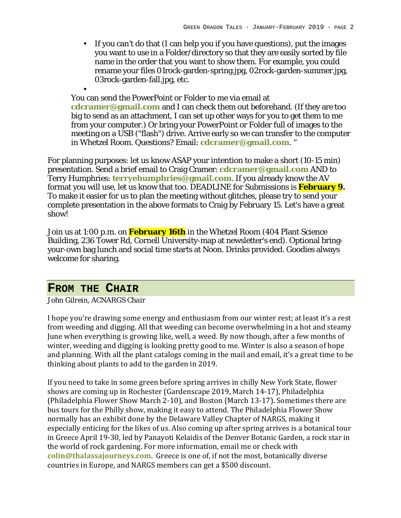• If you can't do that (I can help you if you have questions), put the images you want to use in a Folder/directory so that they are easily sorted by file name in the order that you want to show them. For example, you could rename your files 01rock-garden-spring.jpg, 02rock-garden-summer.jpg, 03rock-garden-fall.jpg, etc.

• You can send the PowerPoint or Folder to me via email at **cdcramer@gmail.com** and I can check them out beforehand. (If they are too big to send as an attachment, I can set up other ways for you to get them to me from your computer.) Or bring your PowerPoint or Folder full of images to the meeting on a USB ("flash") drive. Arrive early so we can transfer to the computer in Whetzel Room. Questions? Email: **cdcramer@gmail.com**. "

For planning purposes: let us know ASAP your intention to make a short (10-15 min) presentation. Send a brief email to Craig Cramer: **cdcramer@gmail.com** AND to Terry Humphries: **terryehumphries@gmail.com**. If you already know the AV format you will use, let us know that too. DEADLINE for Submissions is **February 9.** To make it easier for us to plan the meeting without glitches, please try to send your complete presentation in the above formats to Craig by February 15. Let's have a great show!

Join us at 1:00 p.m. on **February 16th** in the Whetzel Room (404 Plant Science Building, 236 Tower Rd, Cornell University-map at newsletter's end). Optional bringyour-own bag lunch and social time starts at Noon. Drinks provided. Goodies always welcome for sharing.

### **FROM THE CHAIR**

*John Gilrein, ACNARGS Chair*

I hope you're drawing some energy and enthusiasm from our winter rest; at least it's a rest from weeding and digging. All that weeding can become overwhelming in a hot and steamy June when everything is growing like, well, a weed. By now though, after a few months of winter, weeding and digging is looking pretty good to me. Winter is also a season of hope and planning. With all the plant catalogs coming in the mail and email, it's a great time to be thinking about plants to add to the garden in 2019.

If you need to take in some green before spring arrives in chilly New York State, flower shows are coming up in Rochester (Gardenscape 2019, March 14-17), Philadelphia (Philadelphia Flower Show March 2-10), and Boston (March 13-17). Sometimes there are bus tours for the Philly show, making it easy to attend. The Philadelphia Flower Show normally has an exhibit done by the Delaware Valley Chapter of NARGS, making it especially enticing for the likes of us. Also coming up after spring arrives is a botanical tour in Greece April 19-30, led by Panayoti Kelaidis of the Denver Botanic Garden, a rock star in the world of rock gardening. For more information, email me or check with **colin@thalassajourneys.com**. Greece is one of, if not the most, botanically diverse countries in Europe, and NARGS members can get a \$500 discount.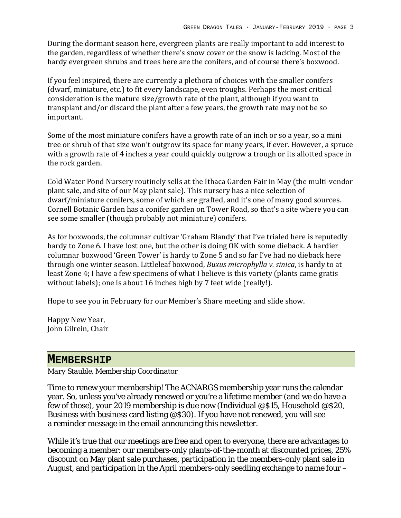During the dormant season here, evergreen plants are really important to add interest to the garden, regardless of whether there's snow cover or the snow is lacking. Most of the hardy evergreen shrubs and trees here are the conifers, and of course there's boxwood.

If you feel inspired, there are currently a plethora of choices with the smaller conifers (dwarf, miniature, etc.) to fit every landscape, even troughs. Perhaps the most critical consideration is the mature size/growth rate of the plant, although if you want to transplant and/or discard the plant after a few years, the growth rate may not be so important.

Some of the most miniature conifers have a growth rate of an inch or so a year, so a mini tree or shrub of that size won't outgrow its space for many years, if ever. However, a spruce with a growth rate of 4 inches a year could quickly outgrow a trough or its allotted space in the rock garden.

Cold Water Pond Nursery routinely sells at the Ithaca Garden Fair in May (the multi-vendor plant sale, and site of our May plant sale). This nursery has a nice selection of dwarf/miniature conifers, some of which are grafted, and it's one of many good sources. Cornell Botanic Garden has a conifer garden on Tower Road, so that's a site where you can see some smaller (though probably not miniature) conifers.

As for boxwoods, the columnar cultivar 'Graham Blandy' that I've trialed here is reputedly hardy to Zone 6. I have lost one, but the other is doing OK with some dieback. A hardier columnar boxwood 'Green Tower' is hardy to Zone 5 and so far I've had no dieback here through one winter season. Littleleaf boxwood, *Buxus microphylla v. sinica*, is hardy to at least Zone 4; I have a few specimens of what I believe is this variety (plants came gratis without labels); one is about 16 inches high by 7 feet wide (really!).

Hope to see you in February for our Member's Share meeting and slide show.

Happy New Year, John Gilrein, Chair

### **MEMBERSHIP**

*Mary Stauble, Membership Coordinator*

Time to renew your membership! The ACNARGS membership year runs the calendar year. So, unless you've already renewed or you're a lifetime member (and we do have a few of those), your 2019 membership is due now (Individual @\$15, Household @\$20, Business with business card listing @\$30). If you have not renewed, you will see a reminder message in the email announcing this newsletter.

While it's true that our meetings are free and open to everyone, there are advantages to becoming a member: our members-only plants-of-the-month at discounted prices, 25% discount on May plant sale purchases, participation in the members-only plant sale in August, and participation in the April members-only seedling exchange to name four –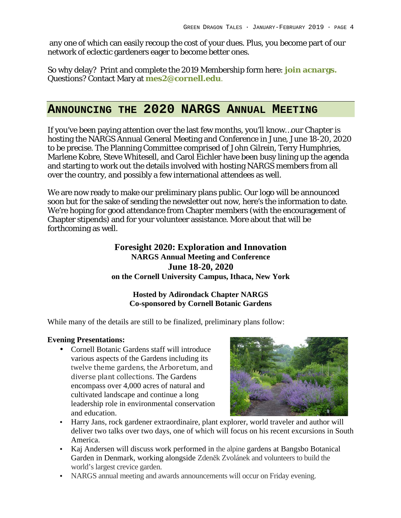any one of which can easily recoup the cost of your dues. Plus, you become part of our network of eclectic gardeners eager to become better ones.

So why delay? Print and complete the 2019 Membership form here: **join acnargs.** Questions? Contact Mary at **mes2@cornell.edu**.

# **ANNOUNCING THE 2020 NARGS ANNUAL MEETING**

If you've been paying attention over the last few months, you'll know…our Chapter is hosting the NARGS Annual General Meeting and Conference in June, June 18-20, 2020 to be precise. The Planning Committee comprised of John Gilrein, Terry Humphries, Marlene Kobre, Steve Whitesell, and Carol Eichler have been busy lining up the agenda and starting to work out the details involved with hosting NARGS members from all over the country, and possibly a few international attendees as well.

We are now ready to make our preliminary plans public. Our logo will be announced soon but for the sake of sending the newsletter out now, here's the information to date. We're hoping for good attendance from Chapter members (with the encouragement of Chapter stipends) and for your volunteer assistance. More about that will be forthcoming as well.

#### **Foresight 2020: Exploration and Innovation NARGS Annual Meeting and Conference June 18-20, 2020 on the Cornell University Campus, Ithaca, New York**

#### **Hosted by Adirondack Chapter NARGS Co-sponsored by Cornell Botanic Gardens**

While many of the details are still to be finalized, preliminary plans follow:

#### **Evening Presentations:**

• Cornell Botanic Gardens staff will introduce various aspects of the Gardens including its twelve theme gardens, the Arboretum, and diverse plant collections. The Gardens encompass over 4,000 acres of natural and cultivated landscape and continue a long leadership role in environmental conservation and education.



- Harry Jans, rock gardener extraordinaire, plant explorer, world traveler and author will deliver two talks over two days, one of which will focus on his recent excursions in South America.
- Kaj Andersen will discuss work performed in the alpine gardens at Bangsbo Botanical Garden in Denmark, working alongside Zdeněk Zvolánek and volunteers to build the world's largest crevice garden.
- NARGS annual meeting and awards announcements will occur on Friday evening.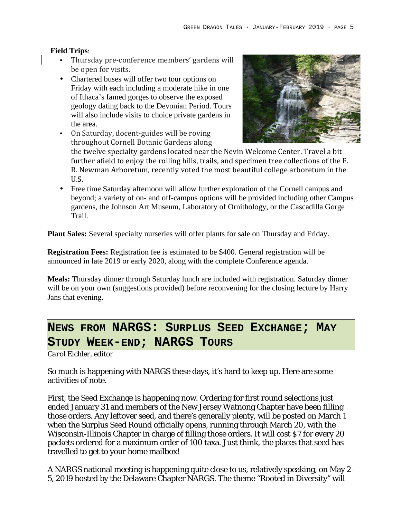#### **Field Trips**:

- Thursday pre-conference members' gardens will be open for visits.
- Chartered buses will offer two tour options on Friday with each including a moderate hike in one of Ithaca's famed gorges to observe the exposed geology dating back to the Devonian Period. Tours will also include visits to choice private gardens in the area.
- On Saturday, docent-guides will be roving throughout Cornell Botanic Gardens along



the twelve specialty gardens located near the Nevin Welcome Center. Travel a bit further afield to enjoy the rolling hills, trails, and specimen tree collections of the F. R. Newman Arboretum, recently voted the most beautiful college arboretum in the U.S.

• Free time Saturday afternoon will allow further exploration of the Cornell campus and beyond; a variety of on- and off-campus options will be provided including other Campus gardens, the Johnson Art Museum, Laboratory of Ornithology, or the Cascadilla Gorge Trail.

**Plant Sales:** Several specialty nurseries will offer plants for sale on Thursday and Friday.

**Registration Fees:** Registration fee is estimated to be \$400. General registration will be announced in late 2019 or early 2020, along with the complete Conference agenda.

**Meals:** Thursday dinner through Saturday lunch are included with registration. Saturday dinner will be on your own (suggestions provided) before reconvening for the closing lecture by Harry Jans that evening.

# **NEWS FROM NARGS: SURPLUS SEED EXCHANGE; MAY STUDY WEEK-END; NARGS TOURS**

*Carol Eichler, editor*

So much is happening with NARGS these days, it's hard to keep up. Here are some activities of note.

First, the Seed Exchange is happening now. Ordering for first round selections just ended January 31 and members of the New Jersey Watnong Chapter have been filling those orders. Any leftover seed, and there's generally plenty, will be posted on March 1 when the Surplus Seed Round officially opens, running through March 20, with the Wisconsin-Illinois Chapter in charge of filling those orders. It will cost \$7 for every 20 packets ordered for a maximum order of 100 taxa. Just think, the places that seed has travelled to get to your home mailbox!

A NARGS national meeting is happening quite close to us, relatively speaking, on May 2- 5, 2019 hosted by the Delaware Chapter NARGS. The theme "Rooted in Diversity" will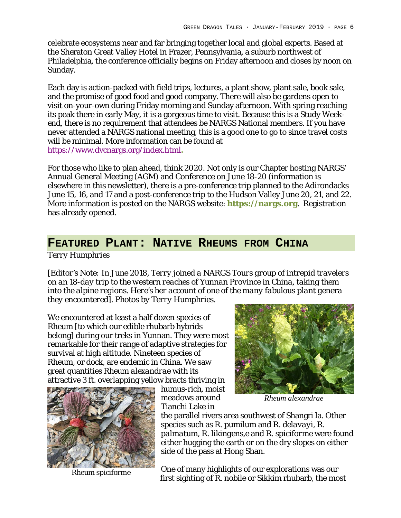celebrate ecosystems near and far bringing together local and global experts. Based at the Sheraton Great Valley Hotel in Frazer, Pennsylvania, a suburb northwest of Philadelphia, the conference officially begins on Friday afternoon and closes by noon on Sunday.

Each day is action-packed with field trips, lectures, a plant show, plant sale, book sale, and the promise of good food and good company. There will also be gardens open to visit on-your-own during Friday morning and Sunday afternoon. With spring reaching its peak there in early May, it is a gorgeous time to visit. Because this is a Study Weekend, there is no requirement that attendees be NARGS National members. If you have never attended a NARGS national meeting, this is a good one to go to since travel costs will be minimal. More information can be found at https://www.dvcnargs.org/index.html**.**

For those who like to plan ahead, think 2020. Not only is our Chapter hosting NARGS' Annual General Meeting (AGM) and Conference on June 18-20 (information is elsewhere in this newsletter), there is a pre-conference trip planned to the Adirondacks June 15, 16, and 17 and a post-conference trip to the Hudson Valley June 20, 21, and 22. More information is posted on the NARGS website: **https://nargs.org**. Registration has already opened.

## **FEATURED PLANT: NATIVE RHEUMS FROM CHINA**

*Terry Humphries*

*[Editor's Note: In June 2018, Terry joined a NARGS Tours group of intrepid travelers on an 18-day trip to the western reaches of Yunnan Province in China, taking them*  into the alpine regions. Here's her account of one of the many fabulous plant genera *they encountered]. Photos by Terry Humphries.*

We encountered at least a half dozen species of Rheum [to which our edible rhubarb hybrids belong] during our treks in Yunnan. They were most remarkable for their range of adaptive strategies for survival at high altitude. Nineteen species of Rheum, or dock, are endemic in China. We saw great quantities *Rheum alexandrae* with its attractive 3 ft. overlapping yellow bracts thriving in



*Rheum spiciforme*

humus-rich, moist meadows around Tianchi Lake in



*Rheum alexandrae*

the parallel rivers area southwest of Shangri la. Other species such as *R. pumilum* and *R. delavayi*, *R. palmatum, R. likingens,e* and *R. spiciforme* were found either hugging the earth or on the dry slopes on either side of the pass at Hong Shan.

One of many highlights of our explorations was our first sighting of *R. nobile* or Sikkim rhubarb, the most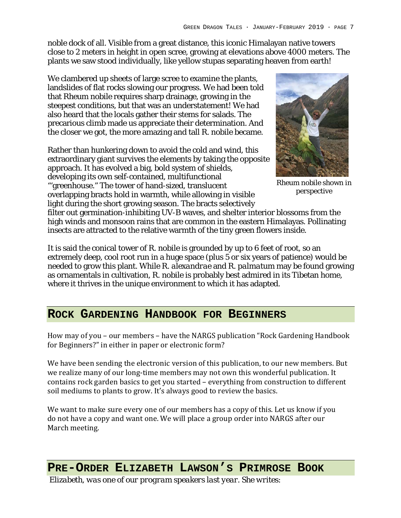noble dock of all. Visible from a great distance, this iconic Himalayan native towers close to 2 meters in height in open scree, growing at elevations above 4000 meters. The plants we saw stood individually, like yellow stupas separating heaven from earth!

We clambered up sheets of large scree to examine the plants, landslides of flat rocks slowing our progress. We had been told that *Rheum nobile* requires sharp drainage, growing in the steepest conditions, but that was an understatement! We had also heard that the locals gather their stems for salads. The precarious climb made us appreciate their determination. And the closer we got, the more amazing and tall *R. nobile* became.

Rather than hunkering down to avoid the cold and wind, this extraordinary giant survives the elements by taking the opposite approach. It has evolved a big, bold system of shields, developing its own self-contained, multifunctional "'greenhouse." The tower of hand-sized, translucent overlapping bracts hold in warmth, while allowing in visible light during the short growing season. The bracts selectively



*Rheum nobile* shown in perspective

filter out germination-inhibiting UV-B waves, and shelter interior blossoms from the high winds and monsoon rains that are common in the eastern Himalayas. Pollinating insects are attracted to the relative warmth of the tiny green flowers inside.

It is said the conical tower of *R. nobile* is grounded by up to 6 feet of root, so an extremely deep, cool root run in a huge space (plus 5 or six years of patience) would be needed to grow this plant. While *R. alexandrae* and *R. palmatum* may be found growing as ornamentals in cultivation, *R. nobile* is probably best admired in its Tibetan home, where it thrives in the unique environment to which it has adapted.

### **ROCK GARDENING HANDBOOK FOR BEGINNERS**

How may of you – our members – have the NARGS publication "Rock Gardening Handbook for Beginners?" in either in paper or electronic form?

We have been sending the electronic version of this publication, to our new members. But we realize many of our long-time members may not own this wonderful publication. It contains rock garden basics to get you started – everything from construction to different soil mediums to plants to grow. It's always good to review the basics.

We want to make sure every one of our members has a copy of this. Let us know if you do not have a copy and want one. We will place a group order into NARGS after our March meeting.

### **PRE-ORDER ELIZABETH LAWSON'S PRIMROSE BOOK**

*Elizabeth, was one of our program speakers last year. She writes:*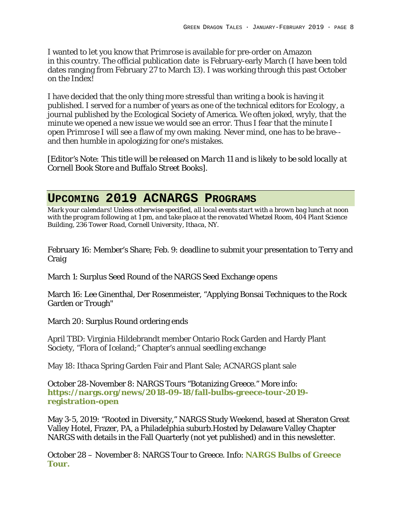I wanted to let you know that *Primrose* is available for pre-order on Amazon in this country. The official publication date is February-early March (I have been told dates ranging from February 27 to March 13). I was working through this past October on the Index!

I have decided that the only thing more stressful than writing a book is having it published. I served for a number of years as one of the technical editors for *Ecology*, a journal published by the Ecological Society of America. We often joked, wryly, that the minute we opened a new issue we would see an error. Thus I fear that the minute I open *Primrose* I will see a flaw of my own making. Never mind, one has to be brave- and then humble in apologizing for one's mistakes.

*[Editor's Note: This title will be released on March 11 and is likely to be sold locally at Cornell Book Store and Buffalo Street Books].*

# **UPCOMING 2019 ACNARGS PROGRAMS**

*Mark your calendars! Unless otherwise specified, all local events start with a brown bag lunch at noon with the program following at 1 pm, and take place at the renovated Whetzel Room, 404 Plant Science Building, 236 Tower Road, Cornell University, Ithaca, NY.*

February 16: Member's Share; Feb. 9: deadline to submit your presentation to Terry and Craig

March 1: Surplus Seed Round of the NARGS Seed Exchange opens

March 16: Lee Ginenthal, Der Rosenmeister, "Applying Bonsai Techniques to the Rock Garden or Trough"

March 20: Surplus Round ordering ends

April TBD: Virginia Hildebrandt member Ontario Rock Garden and Hardy Plant Society, "Flora of Iceland;" Chapter's annual seedling exchange

May 18: Ithaca Spring Garden Fair and Plant Sale; ACNARGS plant sale

October 28-November 8: NARGS Tours "Botanizing Greece." More info: **https://nargs.org/news/2018-09-18/fall-bulbs-greece-tour-2019 registration-open**

May 3-5, 2019: "Rooted in Diversity," NARGS Study Weekend, based at Sheraton Great Valley Hotel, Frazer, PA, a Philadelphia suburb.Hosted by Delaware Valley Chapter NARGS with details in the Fall Quarterly (not yet published) and in this newsletter.

October 28 – November 8: NARGS Tour to Greece. Info: **NARGS Bulbs of Greece Tour.**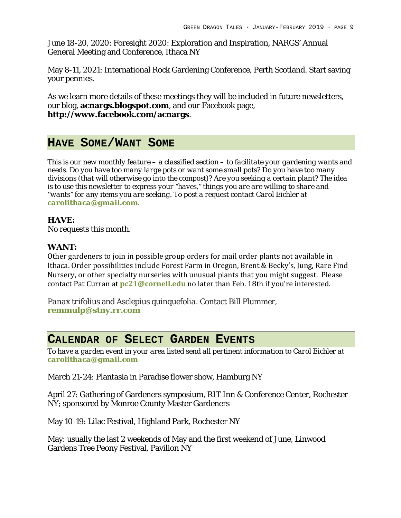June 18-20, 2020: Foresight 2020: Exploration and Inspiration, NARGS' Annual General Meeting and Conference, Ithaca NY

May 8-11, 2021: International Rock Gardening Conference, Perth Scotland. Start saving your pennies.

As we learn more details of these meetings they will be included in future newsletters, our blog, **acnargs.blogspot.com**, and our Facebook page, **http://www.facebook.com/acnargs**.

### **HAVE SOME/WANT SOME**

*This is our new monthly feature – a classified section – to facilitate your gardening wants and needs. Do you have too many large pots or want some small pots? Do you have too many divisions (that will otherwise go into the compost)? Are you seeking a certain plant? The idea is to use this newsletter to express your "haves," things you are are willing to share and "wants" for any items you are seeking. To post a request contact Carol Eichler at carolithaca@gmail.com.* 

**HAVE:** No requests this month.

#### **WANT:**

Other gardeners to join in possible group orders for mail order plants not available in Ithaca. Order possibilities include Forest Farm in Oregon, Brent & Becky's, Jung, Rare Find Nursery, or other specialty nurseries with unusual plants that you might suggest. Please contact Pat Curran at **pc21@cornell.edu** no later than Feb. 18th if you're interested.

*Panax trifolius* and *Asclepius quinquefolia*. Contact Bill Plummer, **remmulp@stny.rr.com**

### **CALENDAR OF SELECT GARDEN EVENTS**

*To have a garden event in your area listed send all pertinent information to Carol Eichler at carolithaca@gmail.com*

March 21-24: Plantasia in Paradise flower show, Hamburg NY

April 27: Gathering of Gardeners symposium, RIT Inn & Conference Center, Rochester NY; sponsored by Monroe County Master Gardeners

May 10-19: Lilac Festival, Highland Park, Rochester NY

May: usually the last 2 weekends of May and the first weekend of June, Linwood Gardens Tree Peony Festival, Pavilion NY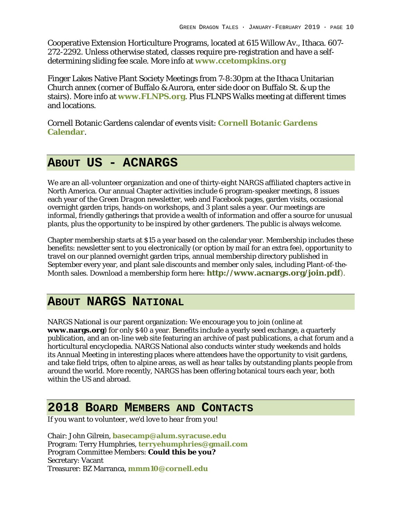Cooperative Extension Horticulture Programs, located at 615 Willow Av., Ithaca. 607- 272-2292. Unless otherwise stated, classes require pre-registration and have a selfdetermining sliding fee scale. More info at **www.ccetompkins.org**

Finger Lakes Native Plant Society Meetings from 7-8:30pm at the Ithaca Unitarian Church annex (corner of Buffalo & Aurora, enter side door on Buffalo St. & up the stairs). More info at **www.FLNPS.org**. Plus FLNPS Walks meeting at different times and locations.

Cornell Botanic Gardens calendar of events visit: **Cornell Botanic Gardens Calendar**.

# **ABOUT US - ACNARGS**

We are an all-volunteer organization and one of thirty-eight NARGS affiliated chapters active in North America. Our annual Chapter activities include 6 program-speaker meetings, 8 issues each year of the *Green Dragon* newsletter, web and Facebook pages, garden visits, occasional overnight garden trips, hands-on workshops, and 3 plant sales a year. Our meetings are informal, friendly gatherings that provide a wealth of information and offer a source for unusual plants, plus the opportunity to be inspired by other gardeners. The public is always welcome.

Chapter membership starts at \$15 a year based on the calendar year. Membership includes these benefits: newsletter sent to you electronically (or option by mail for an extra fee), opportunity to travel on our planned overnight garden trips, annual membership directory published in September every year, and plant sale discounts and member only sales, including Plant-of-the-Month sales. Download a membership form here: **http://www.acnargs.org/join.pdf**).

### **ABOUT NARGS NATIONAL**

NARGS National is our parent organization: We encourage you to join (online at **www.nargs.org**) for only \$40 a year. Benefits include a yearly seed exchange, a quarterly publication, and an on-line web site featuring an archive of past publications, a chat forum and a horticultural encyclopedia. NARGS National also conducts winter study weekends and holds its Annual Meeting in interesting places where attendees have the opportunity to visit gardens, and take field trips, often to alpine areas, as well as hear talks by outstanding plants people from around the world. More recently, NARGS has been offering botanical tours each year, both within the US and abroad.

# **2018 BOARD MEMBERS AND CONTACTS**

*If you want to volunteer, we'd love to hear from you!*

Chair: John Gilrein, **basecamp@alum.syracuse.edu** Program: Terry Humphries, **terryehumphries@gmail.com** Program Committee Members: **Could this be you?** Secretary: Vacant Treasurer: BZ Marranca, **mmm10@cornell.edu**